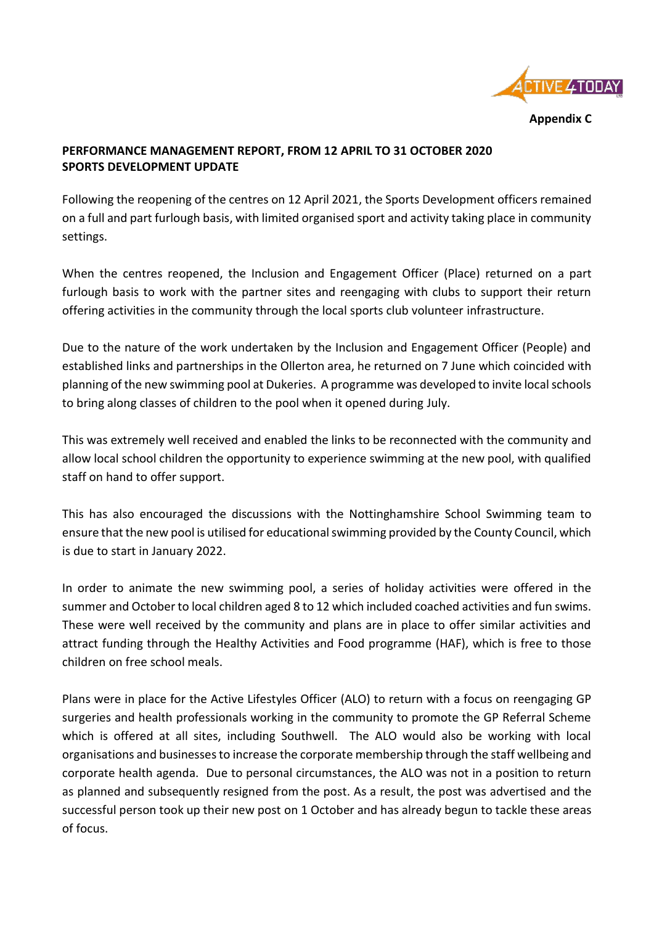

**Appendix C**

## **PERFORMANCE MANAGEMENT REPORT, FROM 12 APRIL TO 31 OCTOBER 2020 SPORTS DEVELOPMENT UPDATE**

Following the reopening of the centres on 12 April 2021, the Sports Development officers remained on a full and part furlough basis, with limited organised sport and activity taking place in community settings.

When the centres reopened, the Inclusion and Engagement Officer (Place) returned on a part furlough basis to work with the partner sites and reengaging with clubs to support their return offering activities in the community through the local sports club volunteer infrastructure.

Due to the nature of the work undertaken by the Inclusion and Engagement Officer (People) and established links and partnerships in the Ollerton area, he returned on 7 June which coincided with planning of the new swimming pool at Dukeries. A programme was developed to invite local schools to bring along classes of children to the pool when it opened during July.

This was extremely well received and enabled the links to be reconnected with the community and allow local school children the opportunity to experience swimming at the new pool, with qualified staff on hand to offer support.

This has also encouraged the discussions with the Nottinghamshire School Swimming team to ensure that the new pool is utilised for educational swimming provided by the County Council, which is due to start in January 2022.

In order to animate the new swimming pool, a series of holiday activities were offered in the summer and October to local children aged 8 to 12 which included coached activities and fun swims. These were well received by the community and plans are in place to offer similar activities and attract funding through the Healthy Activities and Food programme (HAF), which is free to those children on free school meals.

Plans were in place for the Active Lifestyles Officer (ALO) to return with a focus on reengaging GP surgeries and health professionals working in the community to promote the GP Referral Scheme which is offered at all sites, including Southwell. The ALO would also be working with local organisations and businesses to increase the corporate membership through the staff wellbeing and corporate health agenda. Due to personal circumstances, the ALO was not in a position to return as planned and subsequently resigned from the post. As a result, the post was advertised and the successful person took up their new post on 1 October and has already begun to tackle these areas of focus.